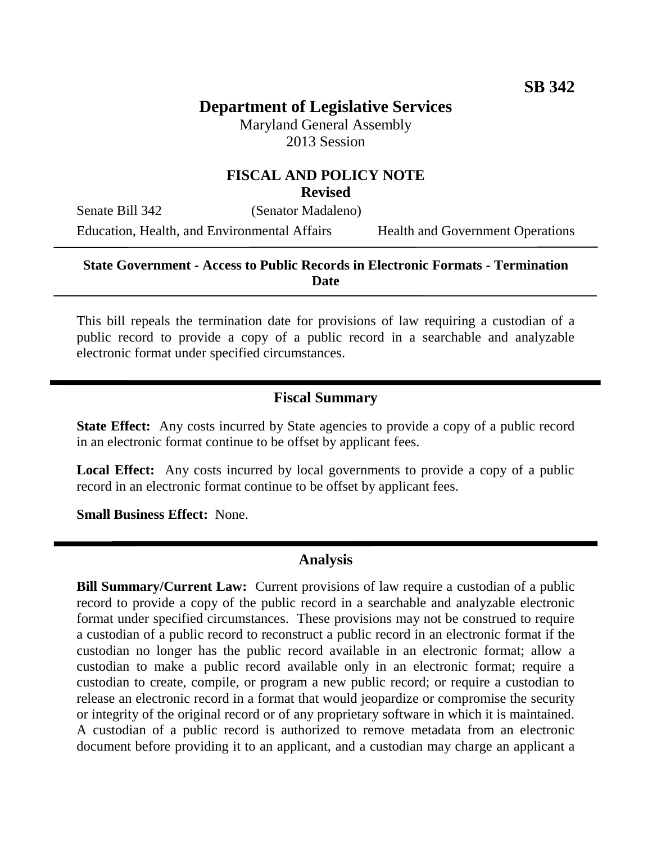## **Department of Legislative Services**

Maryland General Assembly 2013 Session

# **FISCAL AND POLICY NOTE**

**Revised**

Senate Bill 342 (Senator Madaleno) Education, Health, and Environmental Affairs Health and Government Operations

#### **State Government - Access to Public Records in Electronic Formats - Termination Date**

This bill repeals the termination date for provisions of law requiring a custodian of a public record to provide a copy of a public record in a searchable and analyzable electronic format under specified circumstances.

#### **Fiscal Summary**

**State Effect:** Any costs incurred by State agencies to provide a copy of a public record in an electronic format continue to be offset by applicant fees.

**Local Effect:** Any costs incurred by local governments to provide a copy of a public record in an electronic format continue to be offset by applicant fees.

**Small Business Effect:** None.

#### **Analysis**

**Bill Summary/Current Law:** Current provisions of law require a custodian of a public record to provide a copy of the public record in a searchable and analyzable electronic format under specified circumstances. These provisions may not be construed to require a custodian of a public record to reconstruct a public record in an electronic format if the custodian no longer has the public record available in an electronic format; allow a custodian to make a public record available only in an electronic format; require a custodian to create, compile, or program a new public record; or require a custodian to release an electronic record in a format that would jeopardize or compromise the security or integrity of the original record or of any proprietary software in which it is maintained. A custodian of a public record is authorized to remove metadata from an electronic document before providing it to an applicant, and a custodian may charge an applicant a